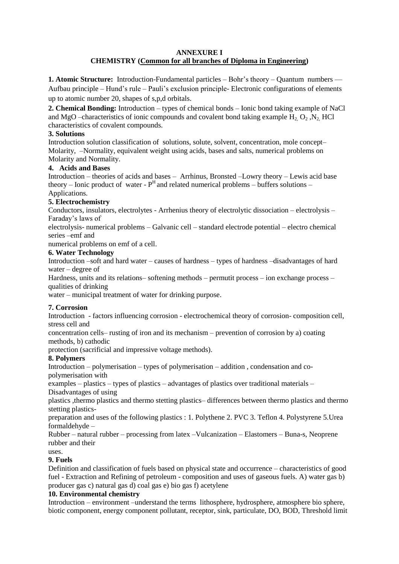#### **ANNEXURE I CHEMISTRY (Common for all branches of Diploma in Engineering)**

**1. Atomic Structure:** Introduction-Fundamental particles – Bohr's theory – Quantum numbers –– Aufbau principle – Hund's rule – Pauli's exclusion principle- Electronic configurations of elements up to atomic number 20, shapes of s,p,d orbitals.

**2. Chemical Bonding:** Introduction – types of chemical bonds – Ionic bond taking example of NaCl and MgO –characteristics of ionic compounds and covalent bond taking example H<sub>2</sub> O<sub>2</sub> ,N<sub>2</sub> HCl characteristics of covalent compounds.

### **3. Solutions**

Introduction solution classification of solutions, solute, solvent, concentration, mole concept– Molarity, –Normality, equivalent weight using acids, bases and salts, numerical problems on Molarity and Normality.

### **4. Acids and Bases**

Introduction – theories of acids and bases – Arrhinus, Bronsted –Lowry theory – Lewis acid base theory – Ionic product of water -  $P<sup>H</sup>$  and related numerical problems – buffers solutions – Applications.

## **5. Electrochemistry**

Conductors, insulators, electrolytes - Arrhenius theory of electrolytic dissociation – electrolysis – Faraday's laws of

electrolysis- numerical problems – Galvanic cell – standard electrode potential – electro chemical series –emf and

numerical problems on emf of a cell.

### **6. Water Technology**

Introduction –soft and hard water – causes of hardness – types of hardness –disadvantages of hard water – degree of

Hardness, units and its relations– softening methods – permutit process – ion exchange process – qualities of drinking

water – municipal treatment of water for drinking purpose.

### **7. Corrosion**

Introduction - factors influencing corrosion - electrochemical theory of corrosion- composition cell, stress cell and

concentration cells– rusting of iron and its mechanism – prevention of corrosion by a) coating methods, b) cathodic

protection (sacrificial and impressive voltage methods).

# **8. Polymers**

Introduction – polymerisation – types of polymerisation – addition , condensation and copolymerisation with

examples – plastics – types of plastics – advantages of plastics over traditional materials – Disadvantages of using

plastics ,thermo plastics and thermo stetting plastics– differences between thermo plastics and thermo stetting plastics-

preparation and uses of the following plastics : 1. Polythene 2. PVC 3. Teflon 4. Polystyrene 5.Urea formaldehyde –

Rubber – natural rubber – processing from latex –Vulcanization – Elastomers – Buna-s, Neoprene rubber and their

# uses.

### **9. Fuels**

Definition and classification of fuels based on physical state and occurrence – characteristics of good fuel - Extraction and Refining of petroleum - composition and uses of gaseous fuels. A) water gas b) producer gas c) natural gas d) coal gas e) bio gas f) acetylene

### **10. Environmental chemistry**

Introduction – environment –understand the terms lithosphere, hydrosphere, atmosphere bio sphere, biotic component, energy component pollutant, receptor, sink, particulate, DO, BOD, Threshold limit